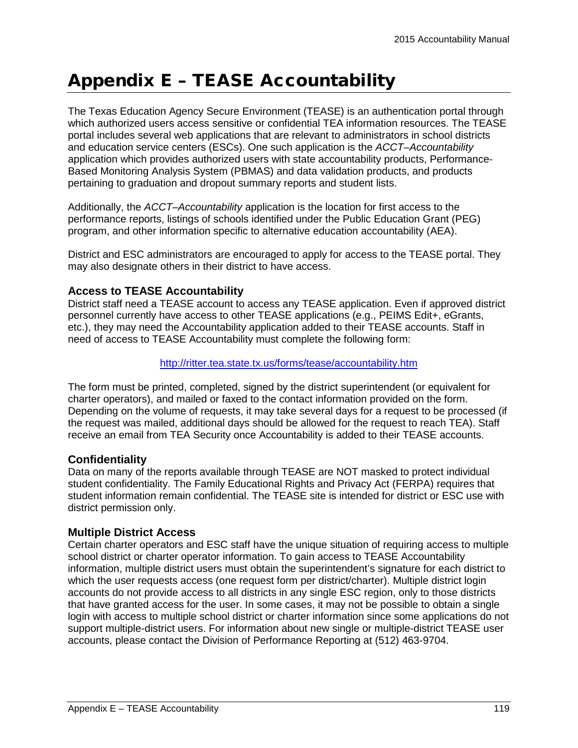# Appendix E – TEASE Accountability

The Texas Education Agency Secure Environment (TEASE) is an authentication portal through which authorized users access sensitive or confidential TEA information resources. The TEASE portal includes several web applications that are relevant to administrators in school districts and education service centers (ESCs). One such application is the *ACCT–Accountability* application which provides authorized users with state accountability products, Performance-Based Monitoring Analysis System (PBMAS) and data validation products, and products pertaining to graduation and dropout summary reports and student lists.

Additionally, the *ACCT–Accountability* application is the location for first access to the performance reports, listings of schools identified under the Public Education Grant (PEG) program, and other information specific to alternative education accountability (AEA).

District and ESC administrators are encouraged to apply for access to the TEASE portal. They may also designate others in their district to have access.

## **Access to TEASE Accountability**

District staff need a TEASE account to access any TEASE application. Even if approved district personnel currently have access to other TEASE applications (e.g., PEIMS Edit+, eGrants, etc.), they may need the Accountability application added to their TEASE accounts. Staff in need of access to TEASE Accountability must complete the following form:

#### <http://ritter.tea.state.tx.us/forms/tease/accountability.htm>

The form must be printed, completed, signed by the district superintendent (or equivalent for charter operators), and mailed or faxed to the contact information provided on the form. Depending on the volume of requests, it may take several days for a request to be processed (if the request was mailed, additional days should be allowed for the request to reach TEA). Staff receive an email from TEA Security once Accountability is added to their TEASE accounts.

## **Confidentiality**

Data on many of the reports available through TEASE are NOT masked to protect individual student confidentiality. The Family Educational Rights and Privacy Act (FERPA) requires that student information remain confidential. The TEASE site is intended for district or ESC use with district permission only.

#### **Multiple District Access**

Certain charter operators and ESC staff have the unique situation of requiring access to multiple school district or charter operator information. To gain access to TEASE Accountability information, multiple district users must obtain the superintendent's signature for each district to which the user requests access (one request form per district/charter). Multiple district login accounts do not provide access to all districts in any single ESC region, only to those districts that have granted access for the user. In some cases, it may not be possible to obtain a single login with access to multiple school district or charter information since some applications do not support multiple-district users. For information about new single or multiple-district TEASE user accounts, please contact the Division of Performance Reporting at (512) 463-9704.